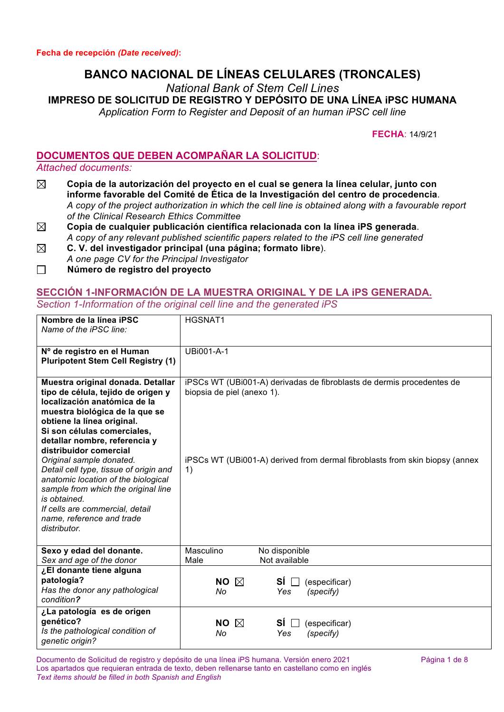# **BANCO NACIONAL DE LÍNEAS CELULARES (TRONCALES)**

*National Bank of Stem Cell Lines*

**IMPRESO DE SOLICITUD DE REGISTRO Y DEPÓSITO DE UNA LÍNEA iPSC HUMANA**

*Application Form to Register and Deposit of an human iPSC cell line*

**FECHA**: 14/9/21

# **DOCUMENTOS QUE DEBEN ACOMPAÑAR LA SOLICITUD**:

#### *Attached documents:*

- $\boxtimes$ **Copia de la autorización del proyecto en el cual se genera la línea celular, junto con informe favorable del Comité de Ética de la Investigación del centro de procedencia**. *A copy of the project authorization in which the cell line is obtained along with a favourable report of the Clinical Research Ethics Committee*
- $\boxtimes$ **Copia de cualquier publicación científica relacionada con la línea iPS generada**. *A copy of any relevant published scientific papers related to the iPS cell line generated*
- $\boxtimes$ **C. V. del investigador principal (una página; formato libre**). *A one page CV for the Principal Investigator*
- **Número de registro del proyecto**

### **SECCIÓN 1-INFORMACIÓN DE LA MUESTRA ORIGINAL Y DE LA iPS GENERADA.** *Section 1-Information of the original cell line and the generated iPS*

| Nombre de la línea iPSC<br>Name of the iPSC line:                                                                                                                                                                                                                                                                                                                                                                                                                                                                     | <b>HGSNAT1</b>                                                                                                                                                                           |  |
|-----------------------------------------------------------------------------------------------------------------------------------------------------------------------------------------------------------------------------------------------------------------------------------------------------------------------------------------------------------------------------------------------------------------------------------------------------------------------------------------------------------------------|------------------------------------------------------------------------------------------------------------------------------------------------------------------------------------------|--|
| Nº de registro en el Human<br><b>Pluripotent Stem Cell Registry (1)</b>                                                                                                                                                                                                                                                                                                                                                                                                                                               | UBi001-A-1                                                                                                                                                                               |  |
| Muestra original donada. Detallar<br>tipo de célula, tejido de origen y<br>localización anatómica de la<br>muestra biológica de la que se<br>obtiene la línea original.<br>Si son células comerciales,<br>detallar nombre, referencia y<br>distribuidor comercial<br>Original sample donated.<br>Detail cell type, tissue of origin and<br>anatomic location of the biological<br>sample from which the original line<br>is obtained.<br>If cells are commercial, detail<br>name, reference and trade<br>distributor. | iPSCs WT (UBi001-A) derivadas de fibroblasts de dermis procedentes de<br>biopsia de piel (anexo 1).<br>iPSCs WT (UBi001-A) derived from dermal fibroblasts from skin biopsy (annex<br>1) |  |
| Sexo y edad del donante.<br>Sex and age of the donor                                                                                                                                                                                                                                                                                                                                                                                                                                                                  | Masculino<br>No disponible<br>Not available<br>Male                                                                                                                                      |  |
| ¿El donante tiene alguna<br>patología?<br>Has the donor any pathological<br>condition?                                                                                                                                                                                                                                                                                                                                                                                                                                | NO $\boxtimes$<br>SÍ ∏<br>(especificar)<br>No<br>Yes<br>(specify)                                                                                                                        |  |
| ¿La patología es de origen<br>genético?<br>Is the pathological condition of<br>genetic origin?                                                                                                                                                                                                                                                                                                                                                                                                                        | <b>NO</b><br>SÍ<br>$\boxtimes$<br>(especificar)<br>No<br>Yes<br>(specify)                                                                                                                |  |

Documento de Solicitud de registro y depósito de una línea iPS humana. Versión enero 2021 Página 1 de 8 Los apartados que requieran entrada de texto, deben rellenarse tanto en castellano como en inglés *Text items should be filled in both Spanish and English*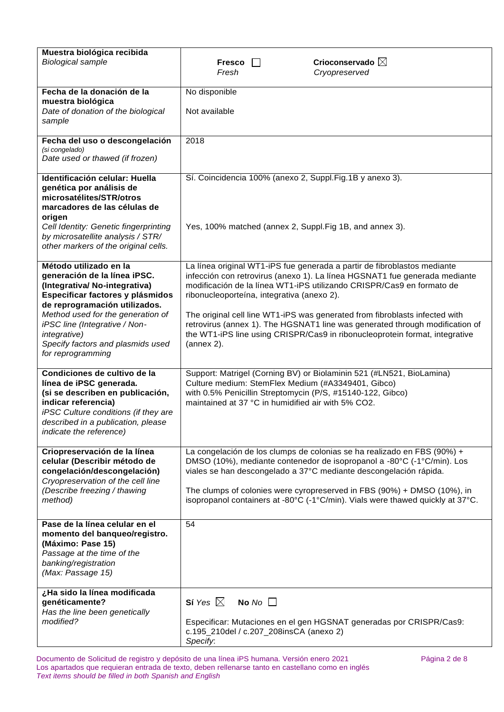| Muestra biológica recibida<br><b>Biological sample</b>                                                                                                                                                                                                                                                              | Crioconservado $\boxtimes$<br><b>Fresco</b><br>Fresh<br>Cryopreserved                                                                                                                                                                                                                                                                                                                                                                                                                                                                     |
|---------------------------------------------------------------------------------------------------------------------------------------------------------------------------------------------------------------------------------------------------------------------------------------------------------------------|-------------------------------------------------------------------------------------------------------------------------------------------------------------------------------------------------------------------------------------------------------------------------------------------------------------------------------------------------------------------------------------------------------------------------------------------------------------------------------------------------------------------------------------------|
| Fecha de la donación de la<br>muestra biológica<br>Date of donation of the biological<br>sample                                                                                                                                                                                                                     | No disponible<br>Not available                                                                                                                                                                                                                                                                                                                                                                                                                                                                                                            |
| Fecha del uso o descongelación<br>(si congelado)<br>Date used or thawed (if frozen)                                                                                                                                                                                                                                 | 2018                                                                                                                                                                                                                                                                                                                                                                                                                                                                                                                                      |
| Identificación celular: Huella<br>genética por análisis de<br>microsatélites/STR/otros<br>marcadores de las células de<br>origen<br>Cell Identity: Genetic fingerprinting<br>by microsatellite analysis / STR/<br>other markers of the original cells.                                                              | Sí. Coincidencia 100% (anexo 2, Suppl.Fig.1B y anexo 3).<br>Yes, 100% matched (annex 2, Suppl.Fig 1B, and annex 3).                                                                                                                                                                                                                                                                                                                                                                                                                       |
| Método utilizado en la<br>generación de la línea iPSC.<br>(Integrativa/ No-integrativa)<br>Especificar factores y plásmidos<br>de reprogramación utilizados.<br>Method used for the generation of<br>iPSC line (Integrative / Non-<br><i>integrative)</i><br>Specify factors and plasmids used<br>for reprogramming | La línea original WT1-iPS fue generada a partir de fibroblastos mediante<br>infección con retrovirus (anexo 1). La línea HGSNAT1 fue generada mediante<br>modificación de la línea WT1-iPS utilizando CRISPR/Cas9 en formato de<br>ribonucleoporteína, integrativa (anexo 2).<br>The original cell line WT1-iPS was generated from fibroblasts infected with<br>retrovirus (annex 1). The HGSNAT1 line was generated through modification of<br>the WT1-iPS line using CRISPR/Cas9 in ribonucleoprotein format, integrative<br>(annex 2). |
| Condiciones de cultivo de la<br>línea de iPSC generada.<br>(si se describen en publicación,<br>indicar referencia)<br>iPSC Culture conditions (if they are<br>described in a publication, please<br>indicate the reference)                                                                                         | Support: Matrigel (Corning BV) or Biolaminin 521 (#LN521, BioLamina)<br>Culture medium: StemFlex Medium (#A3349401, Gibco)<br>with 0.5% Penicillin Streptomycin (P/S, #15140-122, Gibco)<br>maintained at 37 °C in humidified air with 5% CO2.                                                                                                                                                                                                                                                                                            |
| Criopreservación de la línea<br>celular (Describir método de<br>congelación/descongelación)<br>Cryopreservation of the cell line<br>(Describe freezing / thawing<br>method)                                                                                                                                         | La congelación de los clumps de colonias se ha realizado en FBS (90%) +<br>DMSO (10%), mediante contenedor de isopropanol a -80°C (-1°C/min). Los<br>viales se han descongelado a 37°C mediante descongelación rápida.<br>The clumps of colonies were cyropreserved in FBS (90%) + DMSO (10%), in<br>isopropanol containers at -80°C (-1°C/min). Vials were thawed quickly at 37°C.                                                                                                                                                       |
| Pase de la línea celular en el<br>momento del banqueo/registro.<br>(Máximo: Pase 15)<br>Passage at the time of the<br>banking/registration<br>(Max: Passage 15)                                                                                                                                                     | 54                                                                                                                                                                                                                                                                                                                                                                                                                                                                                                                                        |
| ¿Ha sido la línea modificada<br>genéticamente?<br>Has the line been genetically<br>modified?                                                                                                                                                                                                                        | Sí Yes $\boxtimes$<br>No $No$<br>Especificar: Mutaciones en el gen HGSNAT generadas por CRISPR/Cas9:<br>c.195_210del / c.207_208insCA (anexo 2)<br>Specify:                                                                                                                                                                                                                                                                                                                                                                               |

Documento de Solicitud de registro y depósito de una línea iPS humana. Versión enero 2021 **Pagina 2** de 8 Los apartados que requieran entrada de texto, deben rellenarse tanto en castellano como en inglés *Text items should be filled in both Spanish and English*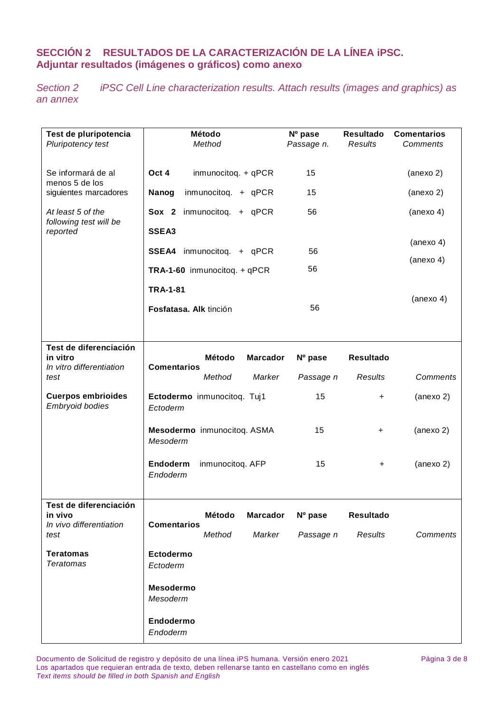# **SECCIÓN 2 RESULTADOS DE LA CARACTERIZACIÓN DE LA LÍNEA iPSC. Adjuntar resultados (imágenes o gráficos) como anexo**

*Section 2 iPSC Cell Line characterization results. Attach results (images and graphics) as an annex*

| Test de pluripotencia<br>Pluripotency test                           | <b>Método</b><br>Method                                             | $No$ pase<br>Passage n. | <b>Resultado</b><br>Results        | <b>Comentarios</b><br>Comments |
|----------------------------------------------------------------------|---------------------------------------------------------------------|-------------------------|------------------------------------|--------------------------------|
| Se informará de al                                                   | Oct 4<br>inmunocitoq. + qPCR                                        | 15                      |                                    | (anexo 2)                      |
| menos 5 de los<br>siguientes marcadores                              | Nanog<br>inmunocitoq. + qPCR                                        | 15                      |                                    | (anexo 2)                      |
| At least 5 of the<br>following test will be                          | Sox 2 inmunocitoq. + qPCR                                           | 56                      |                                    | (anexo <sub>4</sub> )          |
| reported                                                             | SSEA3                                                               |                         |                                    | (anexo <sub>4</sub> )          |
|                                                                      | SSEA4 inmunocitoq. + qPCR                                           | 56                      |                                    | (anexo <sub>4</sub> )          |
|                                                                      | TRA-1-60 inmunocitoq. + qPCR                                        | 56                      |                                    |                                |
|                                                                      | <b>TRA-1-81</b>                                                     |                         |                                    | (anexo <sub>4</sub> )          |
|                                                                      | Fosfatasa. Alk tinción                                              | 56                      |                                    |                                |
|                                                                      |                                                                     |                         |                                    |                                |
| Test de diferenciación<br>in vitro<br>In vitro differentiation       | Método<br><b>Marcador</b><br><b>Comentarios</b>                     | Nº pase                 | <b>Resultado</b>                   |                                |
| test                                                                 | Method<br>Marker                                                    | Passage n               | Results                            | Comments                       |
| <b>Cuerpos embrioides</b><br>Embryoid bodies                         | Ectodermo inmunocitoq. Tuj1<br>Ectoderm                             | 15                      | +                                  | (anexo 2)                      |
|                                                                      | Mesodermo inmunocitoq. ASMA<br>Mesoderm                             | 15                      | $\boldsymbol{+}$                   | (anexo 2)                      |
|                                                                      | Endoderm<br>inmunocitoq. AFP<br>Endoderm                            | 15                      | +                                  | (anexo 2)                      |
| Test de diferenciación<br>in vivo<br>In vivo differentiation<br>test | Método<br><b>Marcador</b><br><b>Comentarios</b><br>Method<br>Marker | Nº pase<br>Passage n    | <b>Resultado</b><br><b>Results</b> | Comments                       |
| <b>Teratomas</b><br><b>Teratomas</b>                                 | Ectodermo<br>Ectoderm                                               |                         |                                    |                                |
|                                                                      | <b>Mesodermo</b><br>Mesoderm                                        |                         |                                    |                                |
|                                                                      | Endodermo<br>Endoderm                                               |                         |                                    |                                |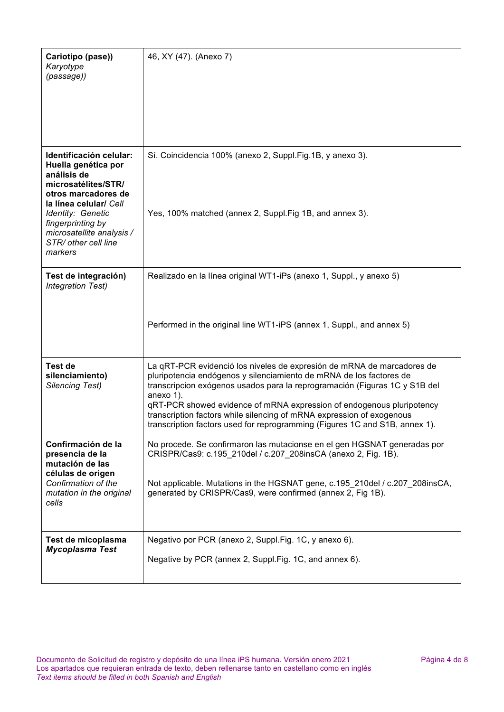| Cariotipo (pase))<br>Karyotype<br>(passage))                                                                                                                                                                                                    | 46, XY (47). (Anexo 7)                                                                                                                                                                                                                                                                                                                                                                                                                                                    |
|-------------------------------------------------------------------------------------------------------------------------------------------------------------------------------------------------------------------------------------------------|---------------------------------------------------------------------------------------------------------------------------------------------------------------------------------------------------------------------------------------------------------------------------------------------------------------------------------------------------------------------------------------------------------------------------------------------------------------------------|
| Identificación celular:<br>Huella genética por<br>análisis de<br>microsatélites/STR/<br>otros marcadores de<br>la línea celular/ Cell<br>Identity: Genetic<br>fingerprinting by<br>microsatellite analysis /<br>STR/ other cell line<br>markers | Sí. Coincidencia 100% (anexo 2, Suppl.Fig.1B, y anexo 3).<br>Yes, 100% matched (annex 2, Suppl. Fig 1B, and annex 3).                                                                                                                                                                                                                                                                                                                                                     |
| Test de integración)<br><b>Integration Test)</b>                                                                                                                                                                                                | Realizado en la línea original WT1-iPs (anexo 1, Suppl., y anexo 5)                                                                                                                                                                                                                                                                                                                                                                                                       |
|                                                                                                                                                                                                                                                 | Performed in the original line WT1-iPS (annex 1, Suppl., and annex 5)                                                                                                                                                                                                                                                                                                                                                                                                     |
| <b>Test de</b><br>silenciamiento)<br><b>Silencing Test)</b>                                                                                                                                                                                     | La qRT-PCR evidenció los niveles de expresión de mRNA de marcadores de<br>pluripotencia endógenos y silenciamiento de mRNA de los factores de<br>transcripcion exógenos usados para la reprogramación (Figuras 1C y S1B del<br>anexo 1).<br>qRT-PCR showed evidence of mRNA expression of endogenous pluripotency<br>transcription factors while silencing of mRNA expression of exogenous<br>transcription factors used for reprogramming (Figures 1C and S1B, annex 1). |
| Confirmación de la<br>presencia de la<br>mutación de las<br>células de origen<br>Confirmation of the<br>mutation in the original<br>cells                                                                                                       | No procede. Se confirmaron las mutacionse en el gen HGSNAT generadas por<br>CRISPR/Cas9: c.195_210del / c.207_208insCA (anexo 2, Fig. 1B).<br>Not applicable. Mutations in the HGSNAT gene, c.195_210del / c.207_208insCA,<br>generated by CRISPR/Cas9, were confirmed (annex 2, Fig 1B).                                                                                                                                                                                 |
| Test de micoplasma<br>Mycoplasma Test                                                                                                                                                                                                           | Negativo por PCR (anexo 2, Suppl.Fig. 1C, y anexo 6).<br>Negative by PCR (annex 2, Suppl.Fig. 1C, and annex 6).                                                                                                                                                                                                                                                                                                                                                           |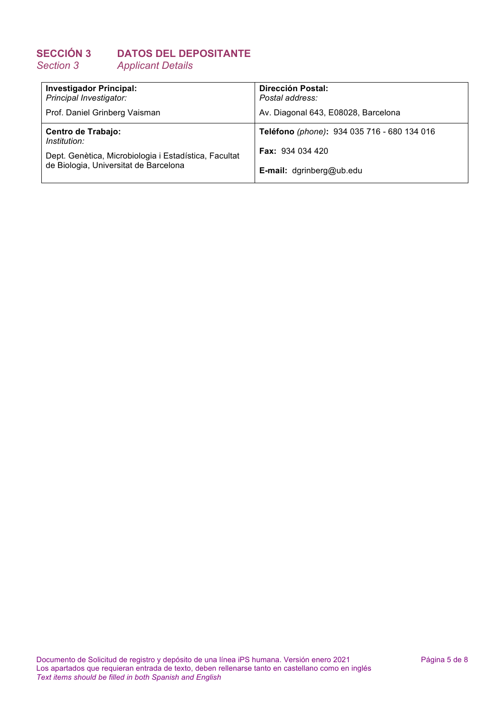# **SECCIÓN 3 DATOS DEL DEPOSITANTE** *Section 3 Applicant Details*

| <b>Investigador Principal:</b><br>Principal Investigator: | <b>Dirección Postal:</b><br>Postal address: |
|-----------------------------------------------------------|---------------------------------------------|
| Prof. Daniel Grinberg Vaisman                             | Av. Diagonal 643, E08028, Barcelona         |
| Centro de Trabajo:<br>Institution:                        | Teléfono (phone): 934 035 716 - 680 134 016 |
| Dept. Genètica, Microbiologia i Estadística, Facultat     | <b>Fax: 934 034 420</b>                     |
| de Biologia, Universitat de Barcelona                     | <b>E-mail:</b> dgrinberg@ub.edu             |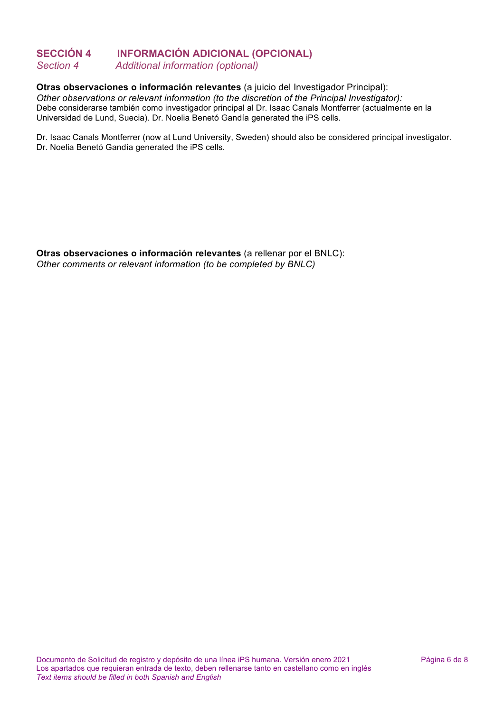### **SECCIÓN 4 INFORMACIÓN ADICIONAL (OPCIONAL)** *Section 4 Additional information (optional)*

### **Otras observaciones o información relevantes** (a juicio del Investigador Principal):

*Other observations or relevant information (to the discretion of the Principal Investigator):* Debe considerarse también como investigador principal al Dr. Isaac Canals Montferrer (actualmente en la Universidad de Lund, Suecia). Dr. Noelia Benetó Gandía generated the iPS cells.

Dr. Isaac Canals Montferrer (now at Lund University, Sweden) should also be considered principal investigator. Dr. Noelia Benetó Gandía generated the iPS cells.

**Otras observaciones o información relevantes** (a rellenar por el BNLC): *Other comments or relevant information (to be completed by BNLC)*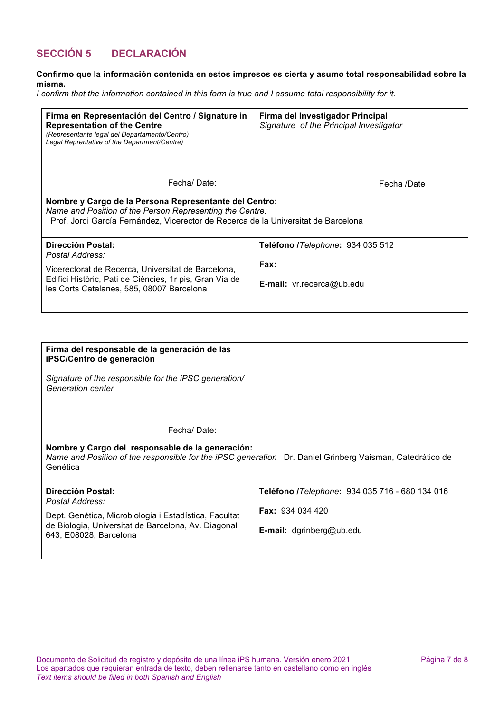### **SECCIÓN 5 DECLARACIÓN**

#### **Confirmo que la información contenida en estos impresos es cierta y asumo total responsabilidad sobre la misma.**

*I confirm that the information contained in this form is true and I assume total responsibility for it.*

| Firma en Representación del Centro / Signature in<br><b>Representation of the Centre</b><br>(Representante legal del Departamento/Centro)<br>Legal Reprentative of the Department/Centre)                | Firma del Investigador Principal<br>Signature of the Principal Investigator |  |
|----------------------------------------------------------------------------------------------------------------------------------------------------------------------------------------------------------|-----------------------------------------------------------------------------|--|
| Fechal Date:                                                                                                                                                                                             | Fecha /Date                                                                 |  |
| Nombre y Cargo de la Persona Representante del Centro:<br>Name and Position of the Person Representing the Centre:<br>Prof. Jordi García Fernández, Vicerector de Recerca de la Universitat de Barcelona |                                                                             |  |
| <b>Dirección Postal:</b><br>Postal Address:                                                                                                                                                              | Teléfono /Telephone: 934 035 512                                            |  |
| Vicerectorat de Recerca, Universitat de Barcelona,<br>Edifici Històric, Pati de Ciències, 1r pis, Gran Via de<br>les Corts Catalanes, 585, 08007 Barcelona                                               | Fax:<br><b>E-mail:</b> $vr.$ recerca@ub.edu                                 |  |

| Firma del responsable de la generación de las<br>iPSC/Centro de generación                                                                                               |  |
|--------------------------------------------------------------------------------------------------------------------------------------------------------------------------|--|
| Signature of the responsible for the iPSC generation/<br>Generation center                                                                                               |  |
| Fechal Date:                                                                                                                                                             |  |
| Nombre y Cargo del responsable de la generación:<br>Name and Position of the responsible for the iPSC generation Dr. Daniel Grinberg Vaisman, Catedràtico de<br>Genética |  |

| Dirección Postal:<br>Postal Address:                                          | Teléfono /Telephone: 934 035 716 - 680 134 016 |
|-------------------------------------------------------------------------------|------------------------------------------------|
| Dept. Genètica, Microbiologia i Estadística, Facultat                         | <b>Fax: 934 034 420</b>                        |
| de Biologia, Universitat de Barcelona, Av. Diagonal<br>643, E08028, Barcelona | <b>E-mail:</b> dgrinberg@ub.edu                |
|                                                                               |                                                |